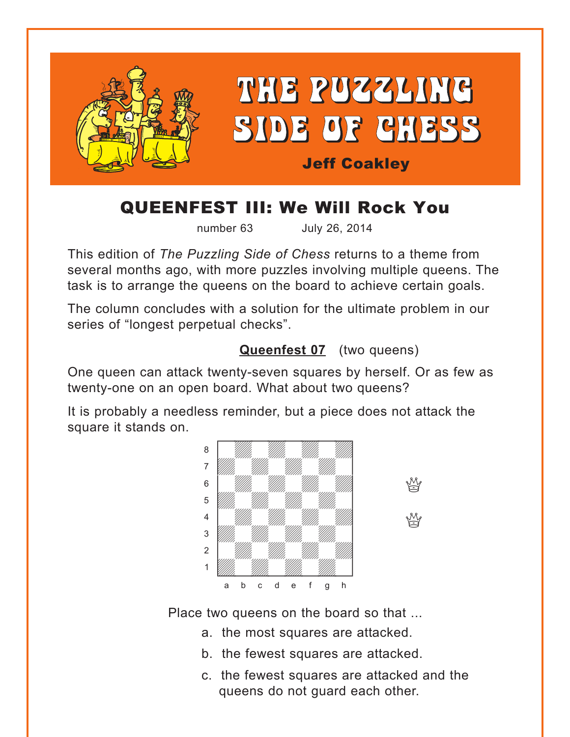<span id="page-0-0"></span>

## QUEENFEST III: We Will Rock You

number 63 July 26, 2014

This edition of *The Puzzling Side of Chess* returns to a theme from several months ago, with more puzzles involving multiple queens. The task is to arrange the queens on the board to achieve certain goals.

The column concludes with a solution for the ultimate problem in our series of "longest perpetual checks".

## **[Queenfest 07](#page-4-0)** (two queens)

One queen can attack twenty-seven squares by herself. Or as few as twenty-one on an open board. What about two queens?

It is probably a needless reminder, but a piece does not attack the square it stands on. with the sum of the sum of the sum of the sum of the sum of the sum of the sum of the sum of the sum of the sum of the sum of the sum of the sum of the sum of the sum of the sum of the sum of the sum of the sum of the sum



Place two queens on the board so that ...

- a. the most squares are attacked.
- b. the fewest squares are attacked.
- c. the fewest squares are attacked and the queens do not guard each other.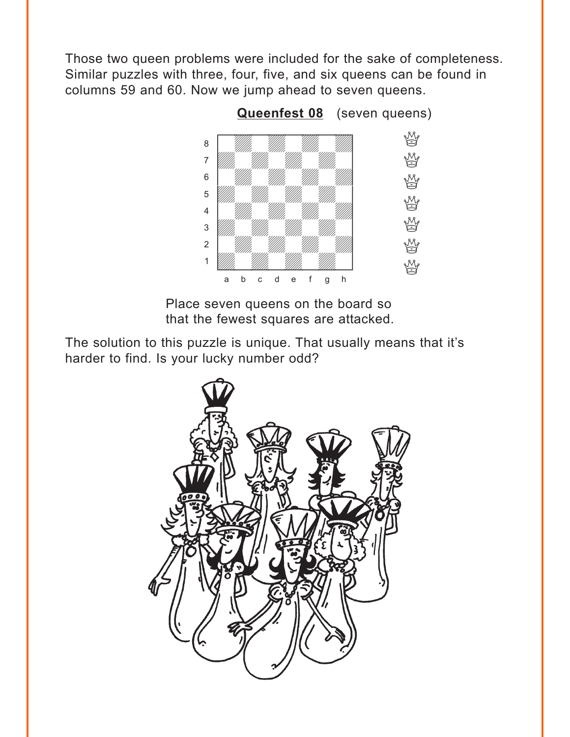<span id="page-1-0"></span>Those two queen problems were included for the sake of completeness. Similar puzzles with three, four, five, and six queens can be found in columns 59 and 60. Now we jump ahead to seven queens.



Place seven queens on the board so that the fewest squares are attacked.

The solution to this puzzle is unique. That usually means that it's harder to find. Is your lucky number odd?

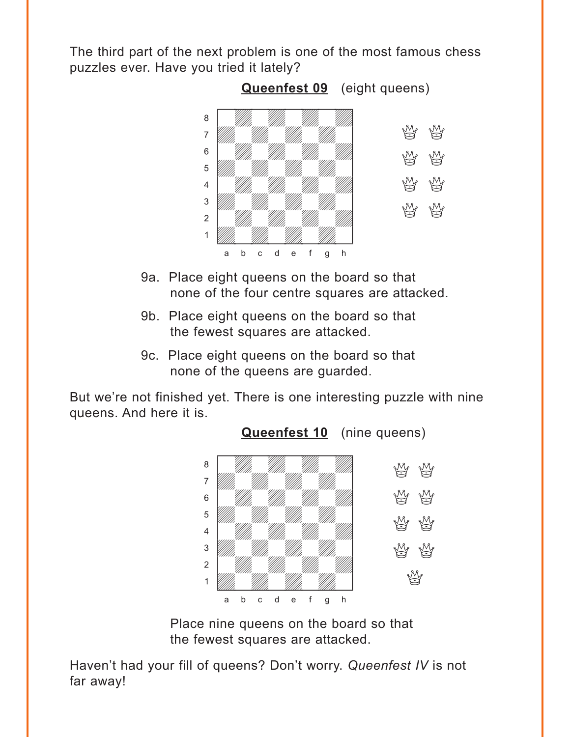<span id="page-2-0"></span>The third part of the next problem is one of the most famous chess puzzles ever. Have you tried it lately?



- 9a. Place eight queens on the board so that none of the four centre squares are attacked.
- 9b. Place eight queens on the board so that the fewest squares are attacked.
- 9c. Place eight queens on the board so that none of the queens are guarded.

But we're not finished yet. There is one interesting puzzle with nine queens. And here it is.



Place nine queens on the board so that the fewest squares are attacked.

Haven't had your fill of queens? Don't worry. *Queenfest IV* is not far away!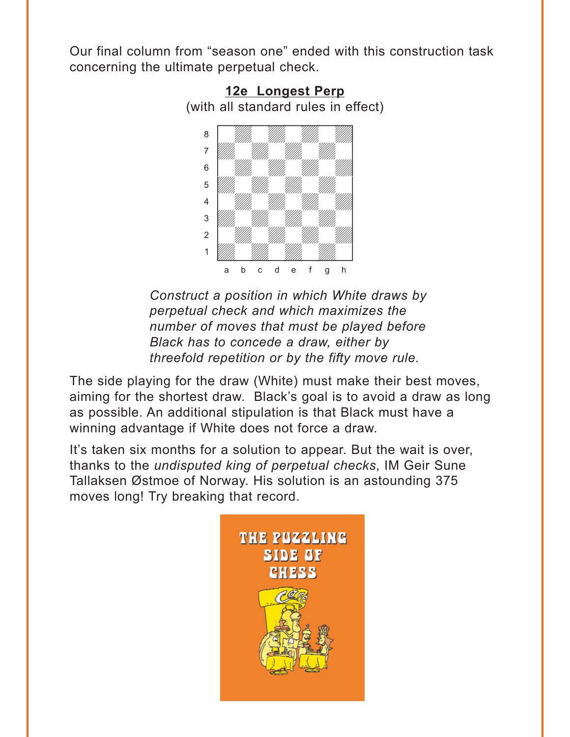<span id="page-3-0"></span>Our final column from "season one" ended with this construction task concerning the ultimate perpetual check.



**12e [Longest Perp](#page-11-0)** (with all standard rules in effect)

*Construct a position in which White draws by perpetual check and which maximizes the number of moves that must be played before Black has to concede a draw, either by threefold repetition or by the fifty move rule.*

The side playing for the draw (White) must make their best moves, aiming for the shortest draw. Black's goal is to avoid a draw as long as possible. An additional stipulation is that Black must have a winning advantage if White does not force a draw.

It's taken six months for a solution to appear. But the wait is over, thanks to the *undisputed king of perpetual checks*, IM Geir Sune Tallaksen Østmoe of Norway. His solution is an astounding 375 moves long! Try breaking that record.

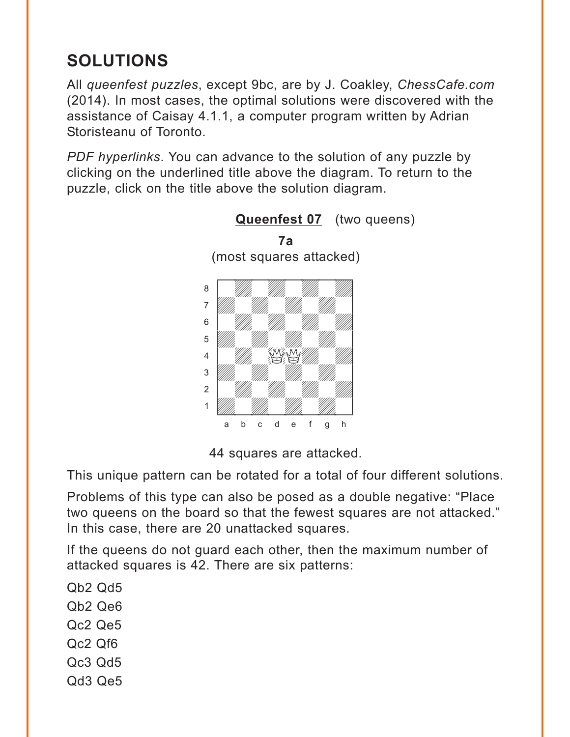# <span id="page-4-0"></span>**SOLUTIONS**

All *queenfest puzzles*, except 9bc, are by J. Coakley, *ChessCafe.com* (2014). In most cases, the optimal solutions were discovered with the assistance of Caisay 4.1.1, a computer program written by Adrian Storisteanu of Toronto.

*PDF hyperlinks*. You can advance to the solution of any puzzle by clicking on the underlined title above the diagram. To return to the puzzle, click on the title above the solution diagram.



**[Queenfest 07](#page-0-0)** (two queens)

44 squares are attacked.

This unique pattern can be rotated for a total of four different solutions.

Problems of this type can also be posed as a double negative: "Place two queens on the board so that the fewest squares are not attacked." In this case, there are 20 unattacked squares.

If the queens do not guard each other, then the maximum number of attacked squares is 42. There are six patterns:

Qb2 Qd5 Qb2 Qe6 Qc2 Qe5 Qc2 Qf6 Qc3 Qd5 Qd3 Qe5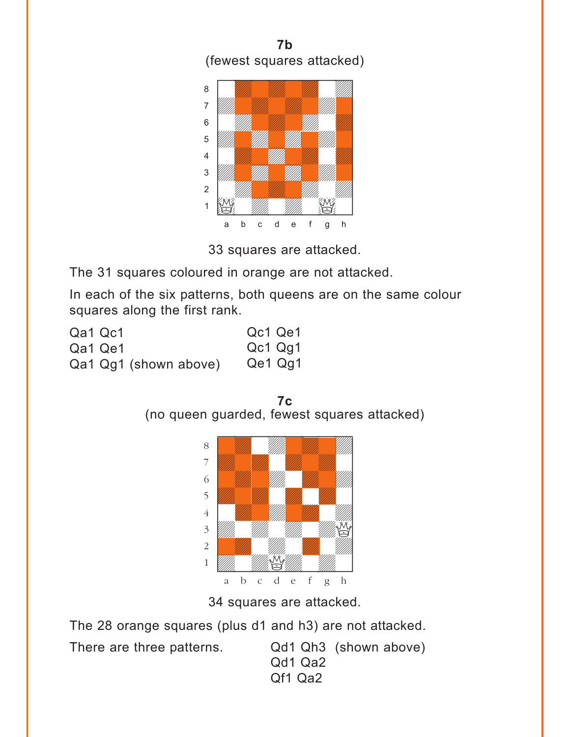





The 31 squares coloured in orange are not attacked.

In each of the six patterns, both queens are on the same colour squares along the first rank.

| Qa1 Qc1 |         |                       | Qc1 Qe1 |         |
|---------|---------|-----------------------|---------|---------|
|         | Qa1 Qe1 |                       | Qc1 Qg1 |         |
|         |         | Qa1 Qg1 (shown above) |         | Qe1 Qg1 |

**7c**  (no queen guarded, fewest squares attacked)



34 squares are attacked.

The 28 orange squares (plus d1 and h3) are not attacked.

There are three patterns. Qd1 Qh3 (shown above)

Qd1 Qa2 Qf1 Qa2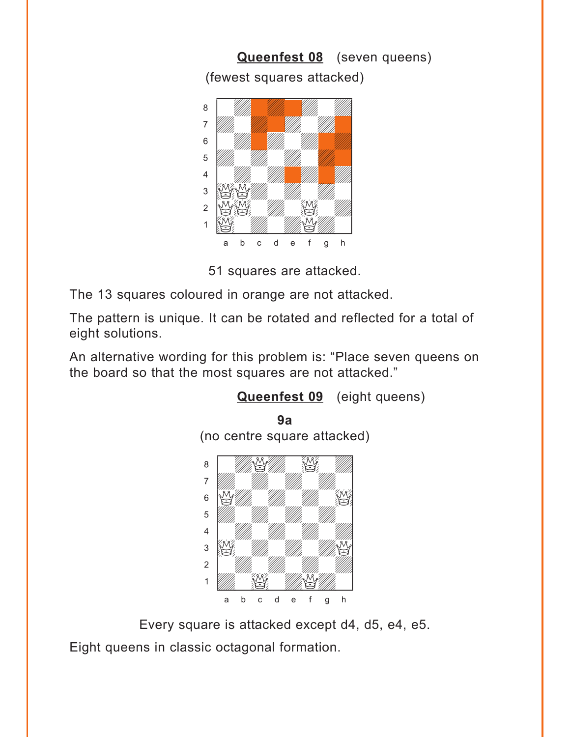<span id="page-6-0"></span>

51 squares are attacked.

The 13 squares coloured in orange are not attacked.

The pattern is unique. It can be rotated and reflected for a total of eight solutions.

An alternative wording for this problem is: "Place seven queens on the board so that the most squares are not attacked."



Every square is attacked except d4, d5, e4, e5.

Eight queens in classic octagonal formation.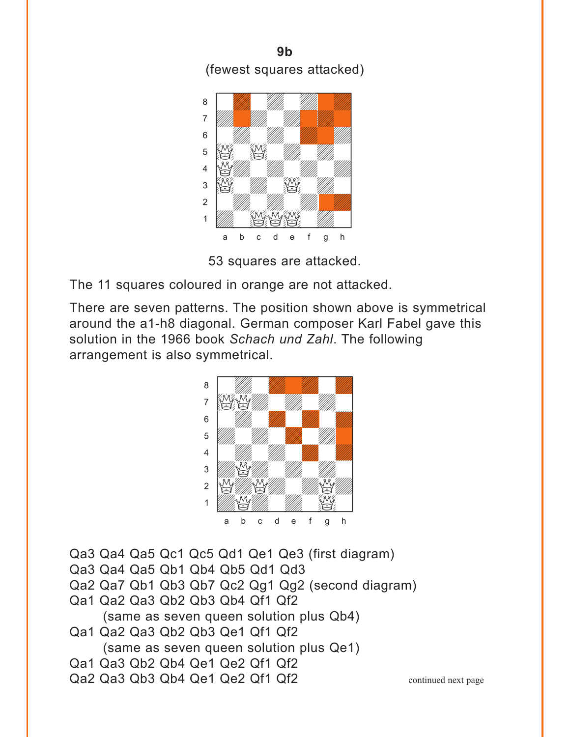**9b**  (fewest squares attacked)



53 squares are attacked.

The 11 squares coloured in orange are not attacked.

There are seven patterns. The position shown above is symmetrical around the a1-h8 diagonal. German composer Karl Fabel gave this solution in the 1966 book *Schach und Zahl*. The following arrangement is also symmetrical.



Qa3 Qa4 Qa5 Qc1 Qc5 Qd1 Qe1 Qe3 (first diagram) Qa3 Qa4 Qa5 Qb1 Qb4 Qb5 Qd1 Qd3 Qa2 Qa7 Qb1 Qb3 Qb7 Qc2 Qg1 Qg2 (second diagram) Qa1 Qa2 Qa3 Qb2 Qb3 Qb4 Qf1 Qf2 (same as seven queen solution plus Qb4) Qa1 Qa2 Qa3 Qb2 Qb3 Qe1 Qf1 Qf2 (same as seven queen solution plus Qe1) Qa1 Qa3 Qb2 Qb4 Qe1 Qe2 Qf1 Qf2

Qa2 Qa3 Qb3 Qb4 Qe1 Qe2 Qf1 Qf2

continued next page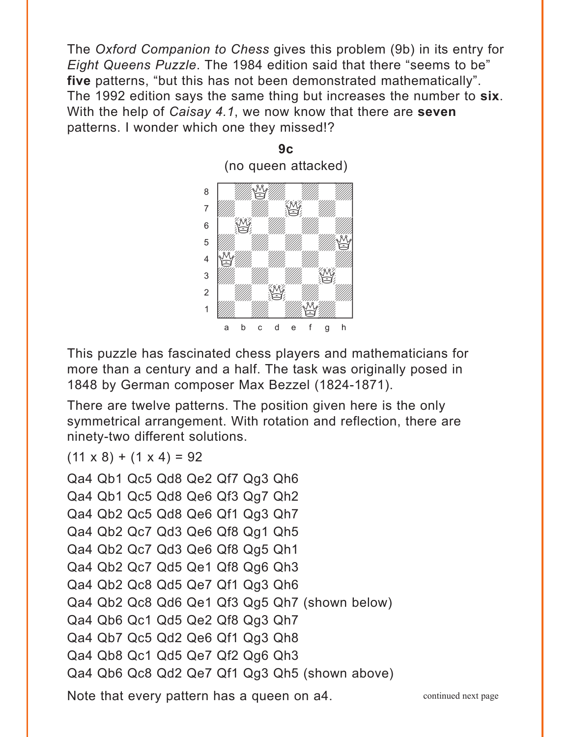The *Oxford Companion to Chess* gives this problem (9b) in its entry for *Eight Queens Puzzle*. The 1984 edition said that there "seems to be" **five** patterns, "but this has not been demonstrated mathematically". The 1992 edition says the same thing but increases the number to **six**. With the help of *Caisay 4.1*, we now know that there are **seven** patterns. I wonder which one they missed!?



This puzzle has fascinated chess players and mathematicians for more than a century and a half. The task was originally posed in 1848 by German composer Max Bezzel (1824-1871).

There are twelve patterns. The position given here is the only symmetrical arrangement. With rotation and reflection, there are ninety-two different solutions.

 $(11 \times 8) + (1 \times 4) = 92$ 

```
Qa4 Qb1 Qc5 Qd8 Qe2 Qf7 Qg3 Qh6
Qa4 Qb1 Qc5 Qd8 Qe6 Qf3 Qg7 Qh2
Qa4 Qb2 Qc5 Qd8 Qe6 Qf1 Qg3 Qh7
Qa4 Qb2 Qc7 Qd3 Qe6 Qf8 Qg1 Qh5
Qa4 Qb2 Qc7 Qd3 Qe6 Qf8 Qg5 Qh1
Qa4 Qb2 Qc7 Qd5 Qe1 Qf8 Qg6 Qh3
Qa4 Qb2 Qc8 Qd5 Qe7 Qf1 Qg3 Qh6
Qa4 Qb2 Qc8 Qd6 Qe1 Qf3 Qg5 Qh7 (shown below)
Qa4 Qb6 Qc1 Qd5 Qe2 Qf8 Qg3 Qh7
Qa4 Qb7 Qc5 Qd2 Qe6 Qf1 Qg3 Qh8
Qa4 Qb8 Qc1 Qd5 Qe7 Qf2 Qg6 Qh3
Qa4 Qb6 Qc8 Qd2 Qe7 Qf1 Qg3 Qh5 (shown above)
Note that every pattern has a queen on a4. The continued next page
```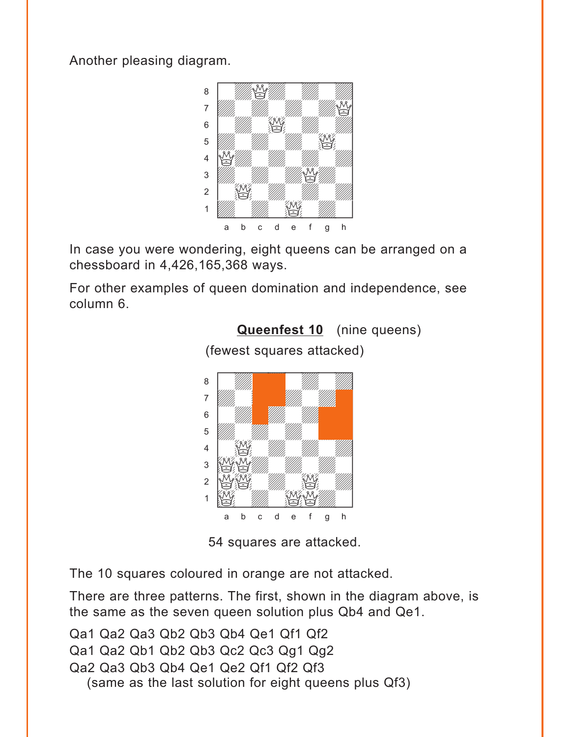<span id="page-9-0"></span>Another pleasing diagram.



In case you were wondering, eight queens can be arranged on a chessboard in 4,426,165,368 ways.

For other examples of queen domination and independence, see column 6.



(fewest squares attacked)

**[Queenfest 10](#page-2-0)** (nine queens)

54 squares are attacked.

The 10 squares coloured in orange are not attacked.

There are three patterns. The first, shown in the diagram above, is the same as the seven queen solution plus Qb4 and Qe1.

Qa1 Qa2 Qa3 Qb2 Qb3 Qb4 Qe1 Qf1 Qf2 Qa1 Qa2 Qb1 Qb2 Qb3 Qc2 Qc3 Qg1 Qg2 Qa2 Qa3 Qb3 Qb4 Qe1 Qe2 Qf1 Qf2 Qf3 (same as the last solution for eight queens plus Qf3)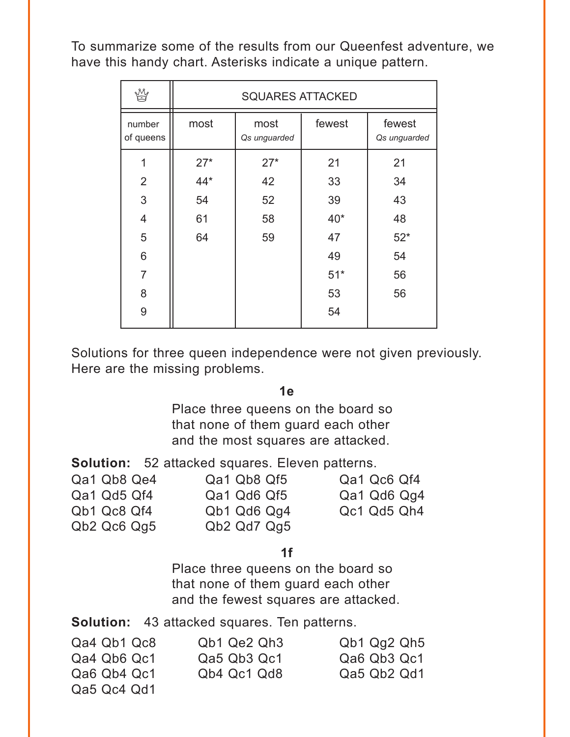To summarize some of the results from our Queenfest adventure, we have this handy chart. Asterisks indicate a unique pattern.

|                     | <b>SQUARES ATTACKED</b> |                      |        |                        |  |  |
|---------------------|-------------------------|----------------------|--------|------------------------|--|--|
| number<br>of queens | most                    | most<br>Qs unguarded | fewest | fewest<br>Qs unguarded |  |  |
| 1                   | $27*$                   | $27*$                | 21     | 21                     |  |  |
| 2                   | $44*$                   | 42                   | 33     | 34                     |  |  |
| 3                   | 54                      | 52                   | 39     | 43                     |  |  |
| $\overline{4}$      | 61                      | 58                   | $40*$  | 48                     |  |  |
| 5                   | 64                      | 59                   | 47     | $52*$                  |  |  |
| 6                   |                         |                      | 49     | 54                     |  |  |
| $\overline{7}$      |                         |                      | $51*$  | 56                     |  |  |
| 8                   |                         |                      | 53     | 56                     |  |  |
| 9                   |                         |                      | 54     |                        |  |  |
|                     |                         |                      |        |                        |  |  |

Solutions for three queen independence were not given previously. Here are the missing problems.

**1e** 

Place three queens on the board so that none of them guard each other and the most squares are attacked.

**Solution:** 52 attacked squares. Eleven patterns.

| Qa1 Qb8 Qe4 | Qa1 Qb8 Qf5 | Qa1 Qc6 Qf4 |
|-------------|-------------|-------------|
| Qa1 Qd5 Qf4 | Qa1 Qd6 Qf5 | Qa1 Qd6 Qg4 |
| Qb1 Qc8 Qf4 | Qb1 Qd6 Qg4 | Qc1 Qd5 Qh4 |
| Qb2 Qc6 Qg5 | Qb2 Qd7 Qg5 |             |

**1f** 

Place three queens on the board so that none of them guard each other and the fewest squares are attacked.

**Solution:** 43 attacked squares. Ten patterns.

| Qa4 Qb1 Qc8 | Qb1 Qe2 Qh3 | Qb1 Qq2 Qh5 |
|-------------|-------------|-------------|
| Qa4 Qb6 Qc1 | Qa5 Qb3 Qc1 | Qa6 Qb3 Qc1 |
| Qa6 Qb4 Qc1 | Qb4 Qc1 Qd8 | Qa5 Qb2 Qd1 |
| Qa5 Qc4 Qd1 |             |             |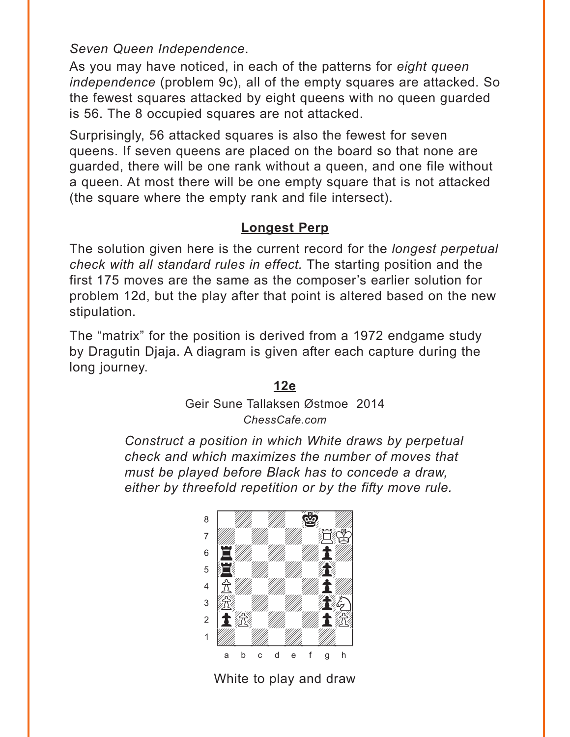<span id="page-11-0"></span>*Seven Queen Independence*.

As you may have noticed, in each of the patterns for *eight queen independence* (problem 9c), all of the empty squares are attacked. So the fewest squares attacked by eight queens with no queen guarded is 56. The 8 occupied squares are not attacked.

Surprisingly, 56 attacked squares is also the fewest for seven queens. If seven queens are placed on the board so that none are guarded, there will be one rank without a queen, and one file without a queen. At most there will be one empty square that is not attacked (the square where the empty rank and file intersect).

### **[Longest Perp](#page-3-0)**

The solution given here is the current record for the *longest perpetual check with all standard rules in effect.* The starting position and the first 175 moves are the same as the composer's earlier solution for problem 12d, but the play after that point is altered based on the new stipulation.

The "matrix" for the position is derived from a 1972 endgame study by Dragutin Djaja. A diagram is given after each capture during the long journey.

#### **[12e](#page-3-0)**

Geir Sune Tallaksen Østmoe 2014 *ChessCafe.com*

*Construct a position in which White draws by perpetual check and which maximizes the number of moves that must be played before Black has to concede a draw, either by threefold repetition or by the fifty move rule.*



White to play and draw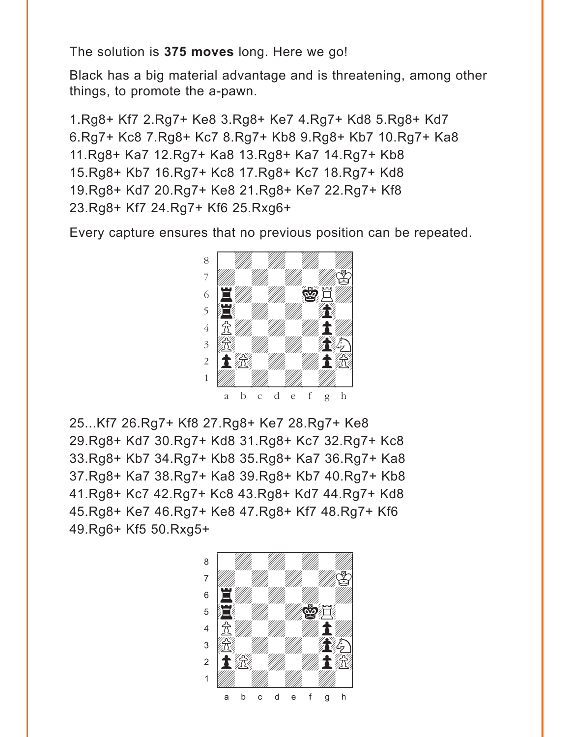The solution is **375 moves** long. Here we go!

Black has a big material advantage and is threatening, among other things, to promote the a-pawn.

1.Rg8+ Kf7 2.Rg7+ Ke8 3.Rg8+ Ke7 4.Rg7+ Kd8 5.Rg8+ Kd7 6.Rg7+ Kc8 7.Rg8+ Kc7 8.Rg7+ Kb8 9.Rg8+ Kb7 10.Rg7+ Ka8 11.Rg8+ Ka7 12.Rg7+ Ka8 13.Rg8+ Ka7 14.Rg7+ Kb8 15.Rg8+ Kb7 16.Rg7+ Kc8 17.Rg8+ Kc7 18.Rg7+ Kd8 19.Rg8+ Kd7 20.Rg7+ Ke8 21.Rg8+ Ke7 22.Rg7+ Kf8 23.Rg8+ Kf7 24.Rg7+ Kf6 25.Rxg6+

Every capture ensures that no previous position can be repeated.



25...Kf7 26.Rg7+ Kf8 27.Rg8+ Ke7 28.Rg7+ Ke8 29.Rg8+ Kd7 30.Rg7+ Kd8 31.Rg8+ Kc7 32.Rg7+ Kc8 33.Rg8+ Kb7 34.Rg7+ Kb8 35.Rg8+ Ka7 36.Rg7+ Ka8 37.Rg8+ Ka7 38.Rg7+ Ka8 39.Rg8+ Kb7 40.Rg7+ Kb8 41.Rg8+ Kc7 42.Rg7+ Kc8 43.Rg8+ Kd7 44.Rg7+ Kd8 45.Rg8+ Ke7 46.Rg7+ Ke8 47.Rg8+ Kf7 48.Rg7+ Kf6 49.Rg6+ Kf5 50.Rxg5+

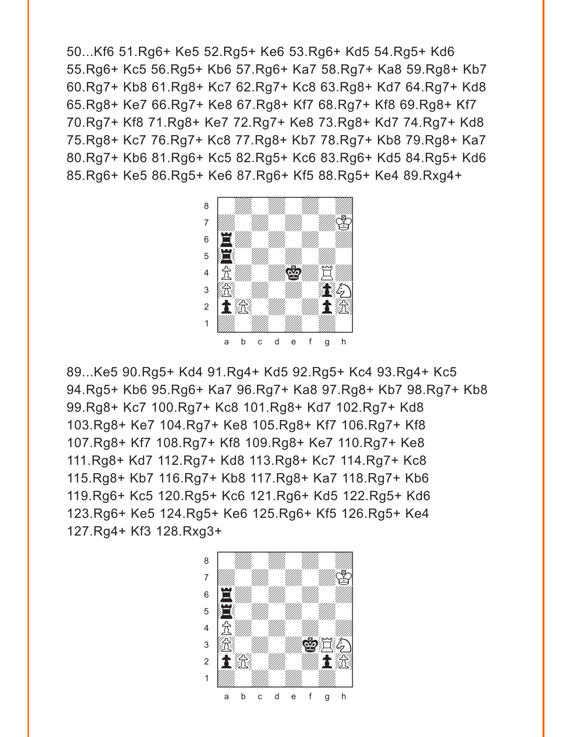50...Kf6 51.Rg6+ Ke5 52.Rg5+ Ke6 53.Rg6+ Kd5 54.Rg5+ Kd6 55.Rg6+ Kc5 56.Rg5+ Kb6 57.Rg6+ Ka7 58.Rg7+ Ka8 59.Rg8+ Kb7 60.Rg7+ Kb8 61.Rg8+ Kc7 62.Rg7+ Kc8 63.Rg8+ Kd7 64.Rg7+ Kd8 65.Rg8+ Ke7 66.Rg7+ Ke8 67.Rg8+ Kf7 68.Rg7+ Kf8 69.Rg8+ Kf7 70.Rg7+ Kf8 71.Rg8+ Ke7 72.Rg7+ Ke8 73.Rg8+ Kd7 74.Rg7+ Kd8 75.Rg8+ Kc7 76.Rg7+ Kc8 77.Rg8+ Kb7 78.Rg7+ Kb8 79.Rg8+ Ka7 80.Rg7+ Kb6 81.Rg6+ Kc5 82.Rg5+ Kc6 83.Rg6+ Kd5 84.Rg5+ Kd6 85.Rg6+ Ke5 86.Rg5+ Ke6 87.Rg6+ Kf5 88.Rg5+ Ke4 89.Rxg4+



89...Ke5 90.Rg5+ Kd4 91.Rg4+ Kd5 92.Rg5+ Kc4 93.Rg4+ Kc5 94.Rg5+ Kb6 95.Rg6+ Ka7 96.Rg7+ Ka8 97.Rg8+ Kb7 98.Rg7+ Kb8 99.Rg8+ Kc7 100.Rg7+ Kc8 101.Rg8+ Kd7 102.Rg7+ Kd8 103.Rg8+ Ke7 104.Rg7+ Ke8 105.Rg8+ Kf7 106.Rg7+ Kf8 107.Rg8+ Kf7 108.Rg7+ Kf8 109.Rg8+ Ke7 110.Rg7+ Ke8 111.Rg8+ Kd7 112.Rg7+ Kd8 113.Rg8+ Kc7 114.Rg7+ Kc8 115.Rg8+ Kb7 116.Rg7+ Kb8 117.Rg8+ Ka7 118.Rg7+ Kb6 119.Rg6+ Kc5 120.Rg5+ Kc6 121.Rg6+ Kd5 122.Rg5+ Kd6 123.Rg6+ Ke5 124.Rg5+ Ke6 125.Rg6+ Kf5 126.Rg5+ Ke4 127.Rg4+ Kf3 128.Rxg3+

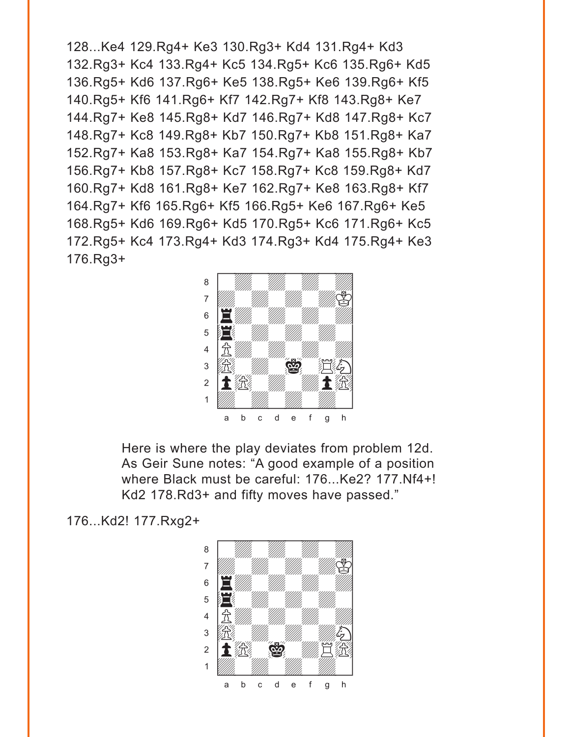128...Ke4 129.Rg4+ Ke3 130.Rg3+ Kd4 131.Rg4+ Kd3 132.Rg3+ Kc4 133.Rg4+ Kc5 134.Rg5+ Kc6 135.Rg6+ Kd5 136.Rg5+ Kd6 137.Rg6+ Ke5 138.Rg5+ Ke6 139.Rg6+ Kf5 140.Rg5+ Kf6 141.Rg6+ Kf7 142.Rg7+ Kf8 143.Rg8+ Ke7 144.Rg7+ Ke8 145.Rg8+ Kd7 146.Rg7+ Kd8 147.Rg8+ Kc7 148.Rg7+ Kc8 149.Rg8+ Kb7 150.Rg7+ Kb8 151.Rg8+ Ka7 152.Rg7+ Ka8 153.Rg8+ Ka7 154.Rg7+ Ka8 155.Rg8+ Kb7 156.Rg7+ Kb8 157.Rg8+ Kc7 158.Rg7+ Kc8 159.Rg8+ Kd7 160.Rg7+ Kd8 161.Rg8+ Ke7 162.Rg7+ Ke8 163.Rg8+ Kf7 164.Rg7+ Kf6 165.Rg6+ Kf5 166.Rg5+ Ke6 167.Rg6+ Ke5 168.Rg5+ Kd6 169.Rg6+ Kd5 170.Rg5+ Kc6 171.Rg6+ Kc5 172.Rg5+ Kc4 173.Rg4+ Kd3 174.Rg3+ Kd4 175.Rg4+ Ke3 176.Rg3+ with the set of the set of the set of the set of the set of the set of the set of the set of the set of the set of the set of the set of the set of the set of the set of the set of the set of the set of the set of the set



Here is where the play deviates from problem 12d. As Geir Sune notes: "A good example of a position where Black must be careful: 176...Ke2? 177.Nf4+! Kd2 178.Rd3+ and fifty moves have passed."

176...Kd2! 177.Rxg2+

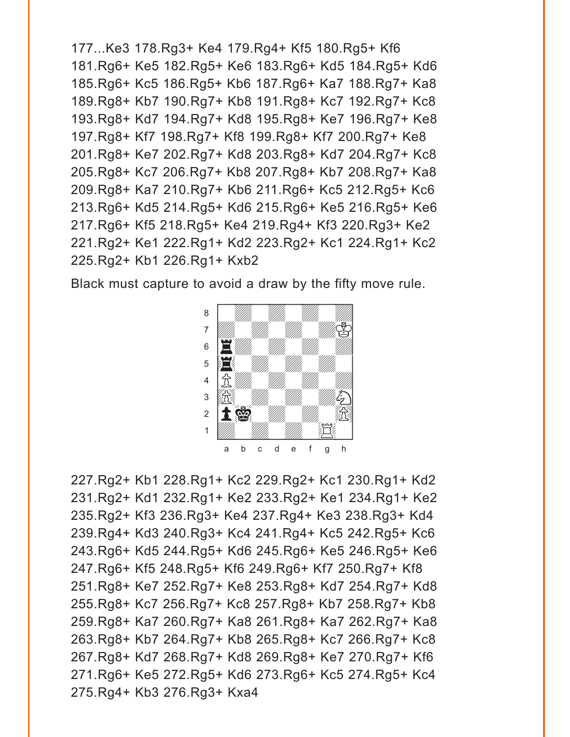```
177...Ke3 178.Rg3+ Ke4 179.Rg4+ Kf5 180.Rg5+ Kf6
181.Rg6+ Ke5 182.Rg5+ Ke6 183.Rg6+ Kd5 184.Rg5+ Kd6
185.Rg6+ Kc5 186.Rg5+ Kb6 187.Rg6+ Ka7 188.Rg7+ Ka8
189.Rg8+ Kb7 190.Rg7+ Kb8 191.Rg8+ Kc7 192.Rg7+ Kc8
193.Rg8+ Kd7 194.Rg7+ Kd8 195.Rg8+ Ke7 196.Rg7+ Ke8
197.Rg8+ Kf7 198.Rg7+ Kf8 199.Rg8+ Kf7 200.Rg7+ Ke8
201.Rg8+ Ke7 202.Rg7+ Kd8 203.Rg8+ Kd7 204.Rg7+ Kc8
205.Rg8+ Kc7 206.Rg7+ Kb8 207.Rg8+ Kb7 208.Rg7+ Ka8
209.Rg8+ Ka7 210.Rg7+ Kb6 211.Rg6+ Kc5 212.Rg5+ Kc6
213.Rg6+ Kd5 214.Rg5+ Kd6 215.Rg6+ Ke5 216.Rg5+ Ke6
217.Rg6+ Kf5 218.Rg5+ Ke4 219.Rg4+ Kf3 220.Rg3+ Ke2
221.Rg2+ Ke1 222.Rg1+ Kd2 223.Rg2+ Kc1 224.Rg1+ Kc2
225.Rg2+ Kb1 226.Rg1+ Kxb2
```
Black must capture to avoid a draw by the fifty move rule.



227.Rg2+ Kb1 228.Rg1+ Kc2 229.Rg2+ Kc1 230.Rg1+ Kd2 231.Rg2+ Kd1 232.Rg1+ Ke2 233.Rg2+ Ke1 234.Rg1+ Ke2 235.Rg2+ Kf3 236.Rg3+ Ke4 237.Rg4+ Ke3 238.Rg3+ Kd4 239.Rg4+ Kd3 240.Rg3+ Kc4 241.Rg4+ Kc5 242.Rg5+ Kc6 243.Rg6+ Kd5 244.Rg5+ Kd6 245.Rg6+ Ke5 246.Rg5+ Ke6 247.Rg6+ Kf5 248.Rg5+ Kf6 249.Rg6+ Kf7 250.Rg7+ Kf8 251.Rg8+ Ke7 252.Rg7+ Ke8 253.Rg8+ Kd7 254.Rg7+ Kd8 255.Rg8+ Kc7 256.Rg7+ Kc8 257.Rg8+ Kb7 258.Rg7+ Kb8 259.Rg8+ Ka7 260.Rg7+ Ka8 261.Rg8+ Ka7 262.Rg7+ Ka8 263.Rg8+ Kb7 264.Rg7+ Kb8 265.Rg8+ Kc7 266.Rg7+ Kc8 267.Rg8+ Kd7 268.Rg7+ Kd8 269.Rg8+ Ke7 270.Rg7+ Kf6 271.Rg6+ Ke5 272.Rg5+ Kd6 273.Rg6+ Kc5 274.Rg5+ Kc4 275.Rg4+ Kb3 276.Rg3+ Kxa4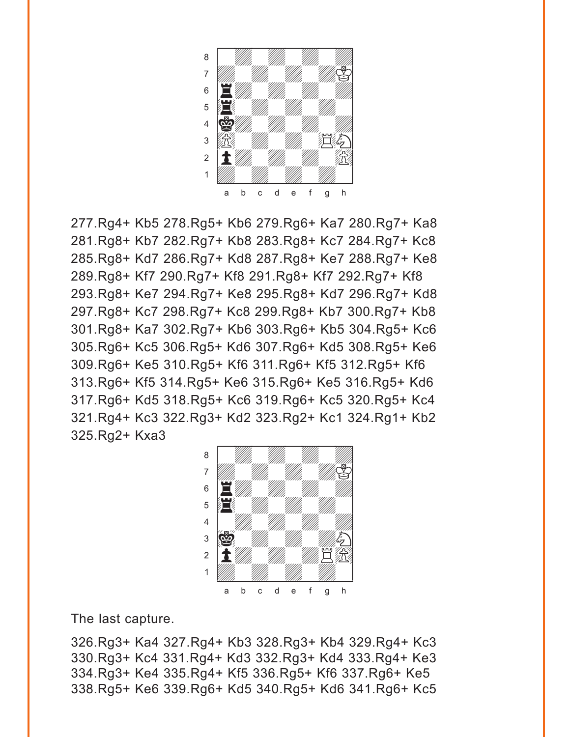

277.Rg4+ Kb5 278.Rg5+ Kb6 279.Rg6+ Ka7 280.Rg7+ Ka8 281.Rg8+ Kb7 282.Rg7+ Kb8 283.Rg8+ Kc7 284.Rg7+ Kc8 285.Rg8+ Kd7 286.Rg7+ Kd8 287.Rg8+ Ke7 288.Rg7+ Ke8 289.Rg8+ Kf7 290.Rg7+ Kf8 291.Rg8+ Kf7 292.Rg7+ Kf8 293.Rg8+ Ke7 294.Rg7+ Ke8 295.Rg8+ Kd7 296.Rg7+ Kd8 297.Rg8+ Kc7 298.Rg7+ Kc8 299.Rg8+ Kb7 300.Rg7+ Kb8 301.Rg8+ Ka7 302.Rg7+ Kb6 303.Rg6+ Kb5 304.Rg5+ Kc6 305.Rg6+ Kc5 306.Rg5+ Kd6 307.Rg6+ Kd5 308.Rg5+ Ke6 309.Rg6+ Ke5 310.Rg5+ Kf6 311.Rg6+ Kf5 312.Rg5+ Kf6 313.Rg6+ Kf5 314.Rg5+ Ke6 315.Rg6+ Ke5 316.Rg5+ Kd6 317.Rg6+ Kd5 318.Rg5+ Kc6 319.Rg6+ Kc5 320.Rg5+ Kc4 321.Rg4+ Kc3 322.Rg3+ Kd2 323.Rg2+ Kc1 324.Rg1+ Kb2 325.Rg2+ Kxa3 with the set of the set of the set of the set of the set of the set of the set of the set of the set of the set of the set of the set of the set of the set of the set of the set of the set of the set of the set of the set



The last capture.

326.Rg3+ Ka4 327.Rg4+ Kb3 328.Rg3+ Kb4 329.Rg4+ Kc3 330.Rg3+ Kc4 331.Rg4+ Kd3 332.Rg3+ Kd4 333.Rg4+ Ke3 334.Rg3+ Ke4 335.Rg4+ Kf5 336.Rg5+ Kf6 337.Rg6+ Ke5 338.Rg5+ Ke6 339.Rg6+ Kd5 340.Rg5+ Kd6 341.Rg6+ Kc5